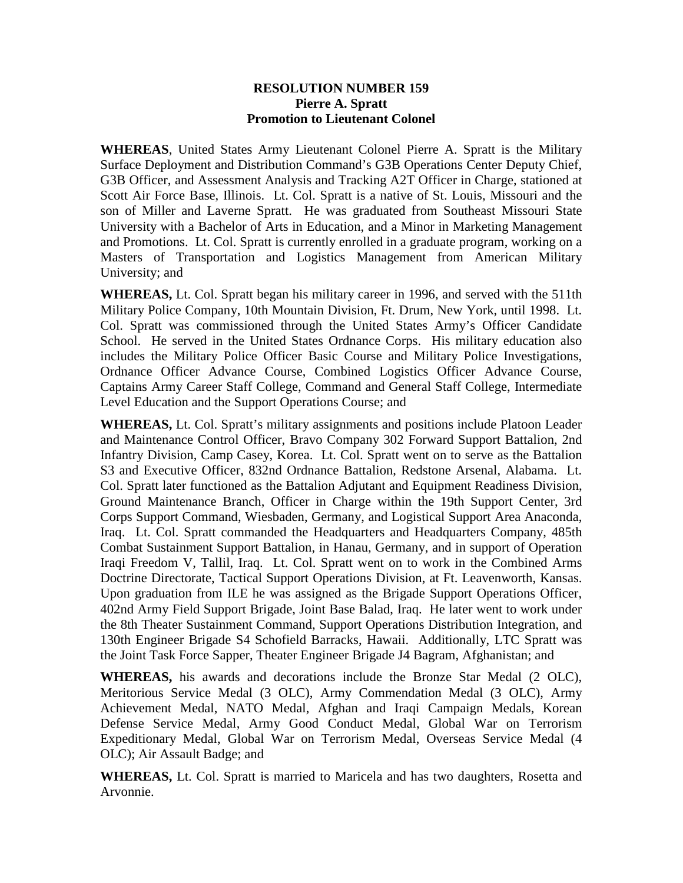## **RESOLUTION NUMBER 159 Pierre A. Spratt Promotion to Lieutenant Colonel**

**WHEREAS**, United States Army Lieutenant Colonel Pierre A. Spratt is the Military Surface Deployment and Distribution Command's G3B Operations Center Deputy Chief, G3B Officer, and Assessment Analysis and Tracking A2T Officer in Charge, stationed at Scott Air Force Base, Illinois. Lt. Col. Spratt is a native of St. Louis, Missouri and the son of Miller and Laverne Spratt. He was graduated from Southeast Missouri State University with a Bachelor of Arts in Education, and a Minor in Marketing Management and Promotions. Lt. Col. Spratt is currently enrolled in a graduate program, working on a Masters of Transportation and Logistics Management from American Military University; and

**WHEREAS,** Lt. Col. Spratt began his military career in 1996, and served with the 511th Military Police Company, 10th Mountain Division, Ft. Drum, New York, until 1998. Lt. Col. Spratt was commissioned through the United States Army's Officer Candidate School. He served in the United States Ordnance Corps. His military education also includes the Military Police Officer Basic Course and Military Police Investigations, Ordnance Officer Advance Course, Combined Logistics Officer Advance Course, Captains Army Career Staff College, Command and General Staff College, Intermediate Level Education and the Support Operations Course; and

**WHEREAS,** Lt. Col. Spratt's military assignments and positions include Platoon Leader and Maintenance Control Officer, Bravo Company 302 Forward Support Battalion, 2nd Infantry Division, Camp Casey, Korea. Lt. Col. Spratt went on to serve as the Battalion S3 and Executive Officer, 832nd Ordnance Battalion, Redstone Arsenal, Alabama. Lt. Col. Spratt later functioned as the Battalion Adjutant and Equipment Readiness Division, Ground Maintenance Branch, Officer in Charge within the 19th Support Center, 3rd Corps Support Command, Wiesbaden, Germany, and Logistical Support Area Anaconda, Iraq. Lt. Col. Spratt commanded the Headquarters and Headquarters Company, 485th Combat Sustainment Support Battalion, in Hanau, Germany, and in support of Operation Iraqi Freedom V, Tallil, Iraq. Lt. Col. Spratt went on to work in the Combined Arms Doctrine Directorate, Tactical Support Operations Division, at Ft. Leavenworth, Kansas. Upon graduation from ILE he was assigned as the Brigade Support Operations Officer, 402nd Army Field Support Brigade, Joint Base Balad, Iraq. He later went to work under the 8th Theater Sustainment Command, Support Operations Distribution Integration, and 130th Engineer Brigade S4 Schofield Barracks, Hawaii. Additionally, LTC Spratt was the Joint Task Force Sapper, Theater Engineer Brigade J4 Bagram, Afghanistan; and

**WHEREAS,** his awards and decorations include the Bronze Star Medal (2 OLC), Meritorious Service Medal (3 OLC), Army Commendation Medal (3 OLC), Army Achievement Medal, NATO Medal, Afghan and Iraqi Campaign Medals, Korean Defense Service Medal, Army Good Conduct Medal, Global War on Terrorism Expeditionary Medal, Global War on Terrorism Medal, Overseas Service Medal (4 OLC); Air Assault Badge; and

**WHEREAS,** Lt. Col. Spratt is married to Maricela and has two daughters, Rosetta and Arvonnie.